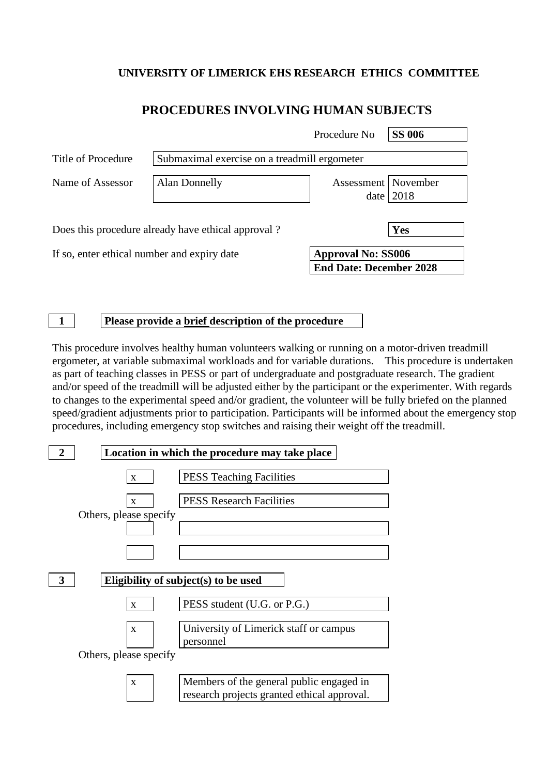### **UNIVERSITY OF LIMERICK EHS RESEARCH ETHICS COMMITTEE**

## **PROCEDURES INVOLVING HUMAN SUBJECTS**

|                                                    |                                              | Procedure No                                                | <b>SS 006</b> |  |
|----------------------------------------------------|----------------------------------------------|-------------------------------------------------------------|---------------|--|
| Title of Procedure                                 | Submaximal exercise on a treadmill ergometer |                                                             |               |  |
| Name of Assessor                                   | <b>Alan Donnelly</b>                         | Assessment   November<br>date                               | 2018          |  |
| Does this procedure already have ethical approval? |                                              |                                                             | Yes           |  |
| If so, enter ethical number and expiry date        |                                              | <b>Approval No: SS006</b><br><b>End Date: December 2028</b> |               |  |

#### **1 Please provide a brief description of the procedure**

This procedure involves healthy human volunteers walking or running on a motor-driven treadmill ergometer, at variable submaximal workloads and for variable durations. This procedure is undertaken as part of teaching classes in PESS or part of undergraduate and postgraduate research. The gradient and/or speed of the treadmill will be adjusted either by the participant or the experimenter. With regards to changes to the experimental speed and/or gradient, the volunteer will be fully briefed on the planned speed/gradient adjustments prior to participation. Participants will be informed about the emergency stop procedures, including emergency stop switches and raising their weight off the treadmill.

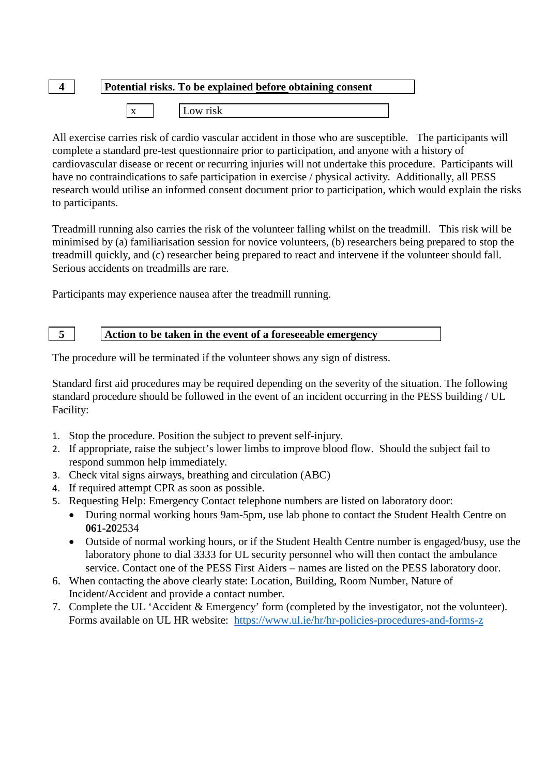# **4 Potential risks. To be explained before obtaining consent**

|  |  |  | $-0.000$ |
|--|--|--|----------|
|--|--|--|----------|

All exercise carries risk of cardio vascular accident in those who are susceptible. The participants will complete a standard pre-test questionnaire prior to participation, and anyone with a history of cardiovascular disease or recent or recurring injuries will not undertake this procedure. Participants will have no contraindications to safe participation in exercise / physical activity. Additionally, all PESS research would utilise an informed consent document prior to participation, which would explain the risks to participants.

Treadmill running also carries the risk of the volunteer falling whilst on the treadmill. This risk will be minimised by (a) familiarisation session for novice volunteers, (b) researchers being prepared to stop the treadmill quickly, and (c) researcher being prepared to react and intervene if the volunteer should fall. Serious accidents on treadmills are rare.

Participants may experience nausea after the treadmill running.

#### **5 Action to be taken in the event of a foreseeable emergency**

The procedure will be terminated if the volunteer shows any sign of distress.

Standard first aid procedures may be required depending on the severity of the situation. The following standard procedure should be followed in the event of an incident occurring in the PESS building / UL Facility:

- 1. Stop the procedure. Position the subject to prevent self-injury.
- 2. If appropriate, raise the subject's lower limbs to improve blood flow. Should the subject fail to respond summon help immediately.
- 3. Check vital signs airways, breathing and circulation (ABC)
- 4. If required attempt CPR as soon as possible.
- 5. Requesting Help: Emergency Contact telephone numbers are listed on laboratory door:
	- During normal working hours 9am-5pm, use lab phone to contact the Student Health Centre on **061-20**2534
	- Outside of normal working hours, or if the Student Health Centre number is engaged/busy, use the laboratory phone to dial 3333 for UL security personnel who will then contact the ambulance service. Contact one of the PESS First Aiders – names are listed on the PESS laboratory door.
- 6. When contacting the above clearly state: Location, Building, Room Number, Nature of Incident/Accident and provide a contact number.
- 7. Complete the UL 'Accident & Emergency' form (completed by the investigator, not the volunteer). Forms available on UL HR website: <https://www.ul.ie/hr/hr-policies-procedures-and-forms-z>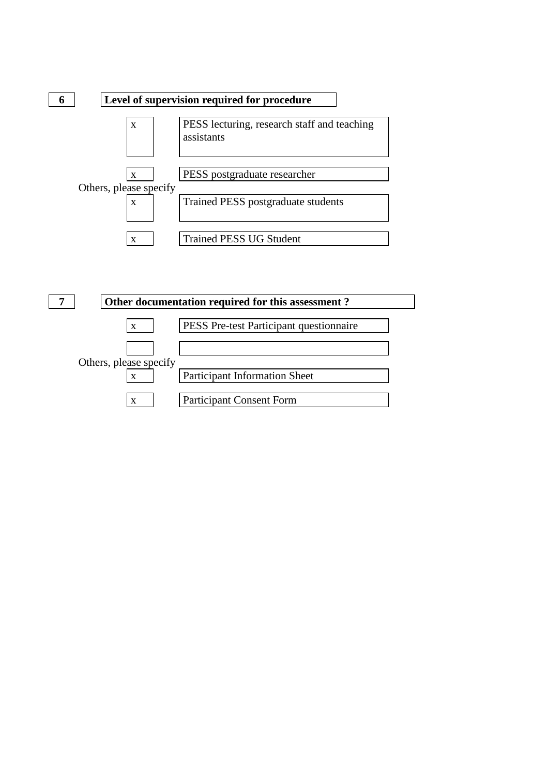